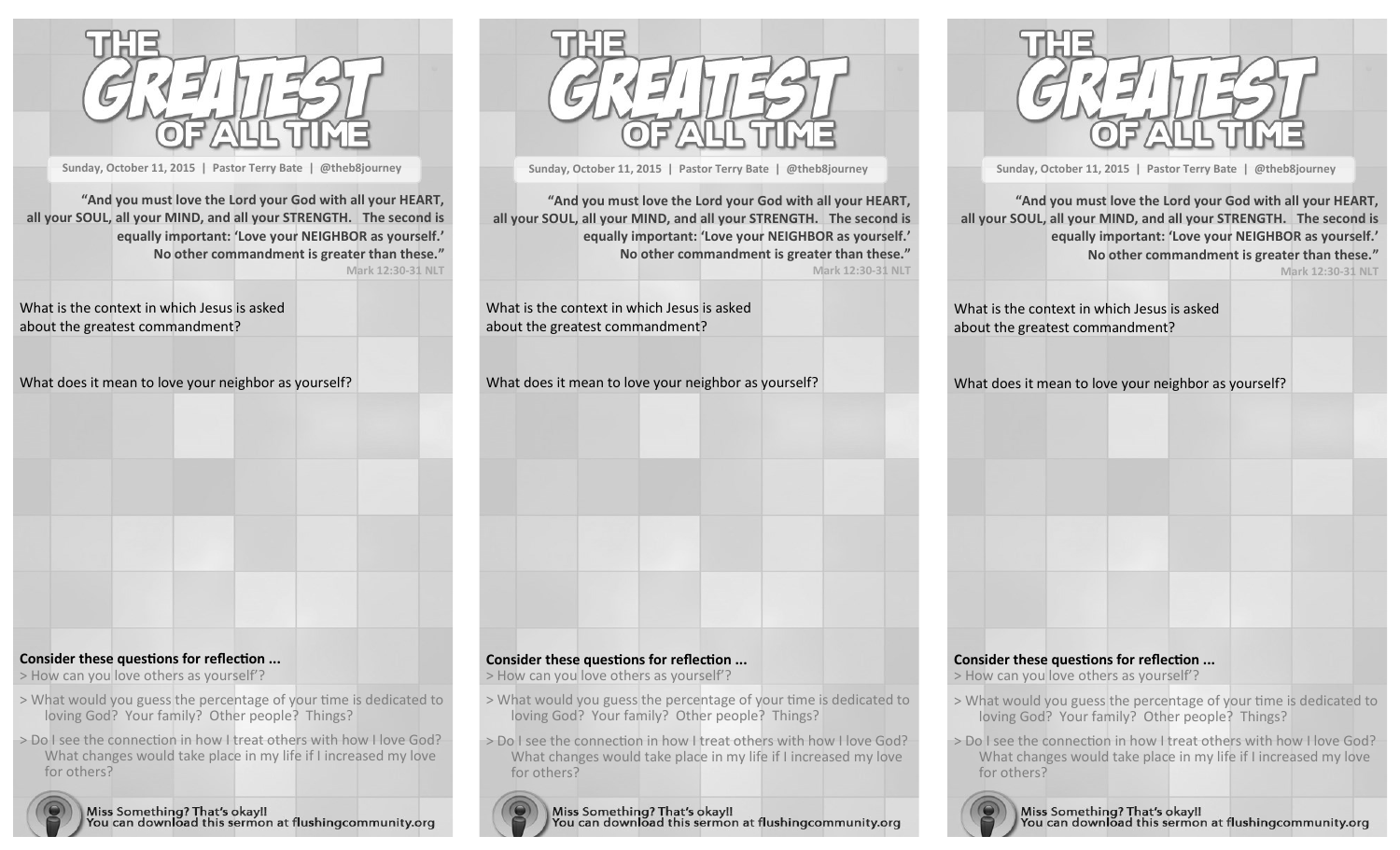

**Sunday, October 11, 2015 | Pastor Terry Bate | @theb8journey**

**"And you must love the Lord your God with all your HEART, all your SOUL, all your MIND, and all your STRENGTH. The second is equally important: 'Love your NEIGHBOR as yourself.' No other commandment is greater than these." Mark 12:30-31 NLT**

What is the context in which Jesus is asked about the greatest commandment?

| What does it mean to love your neighbor as yourself? |  |  |
|------------------------------------------------------|--|--|
|------------------------------------------------------|--|--|



> How can you love others as yourself'?

- > What would you guess the percentage of your time is dedicated to loving God? Your family? Other people? Things?
- > Do I see the connection in how I treat others with how I love God? What changes would take place in my life if I increased my love for others?



Miss Something? That's okay!!<br>You can download this sermon at flushingcommunity.org



**Sunday, October 11, 2015 | Pastor Terry Bate | @theb8journey**

**"And you must love the Lord your God with all your HEART, all your SOUL, all your MIND, and all your STRENGTH. The second is equally important: 'Love your NEIGHBOR as yourself.' No other commandment is greater than these." Mark 12:30-31 NLT**

What is the context in which Jesus is asked about the greatest commandment?

What does it mean to love your neighbor as yourself?



**Sunday, October 11, 2015 | Pastor Terry Bate | @theb8journey**

**"And you must love the Lord your God with all your HEART, all your SOUL, all your MIND, and all your STRENGTH. The second is equally important: 'Love your NEIGHBOR as yourself.' No other commandment is greater than these." Mark 12:30-31 NLT**

What is the context in which Jesus is asked about the greatest commandment?

What does it mean to love your neighbor as yourself?

## **Consider these questions for reflection ...**

> How can you love others as yourself'?

- > What would you guess the percentage of your time is dedicated to loving God? Your family? Other people? Things?
- > Do I see the connection in how I treat others with how I love God? What changes would take place in my life if I increased my love for others?



Miss Something? That's okay!!<br>You can download this sermon at flushingcommunity.org

## **Consider these questions for reflection ...**

> How can you love others as yourself'?

- loving God? Your family? Other people? Things?
- > Do I see the connection in how I treat others with how I love God? What changes would take place in my life if I increased my love for others?

Miss Something? That's okay!!<br>You can download this sermon at flushingcommunity.org

> What would you guess the percentage of your time is dedicated to